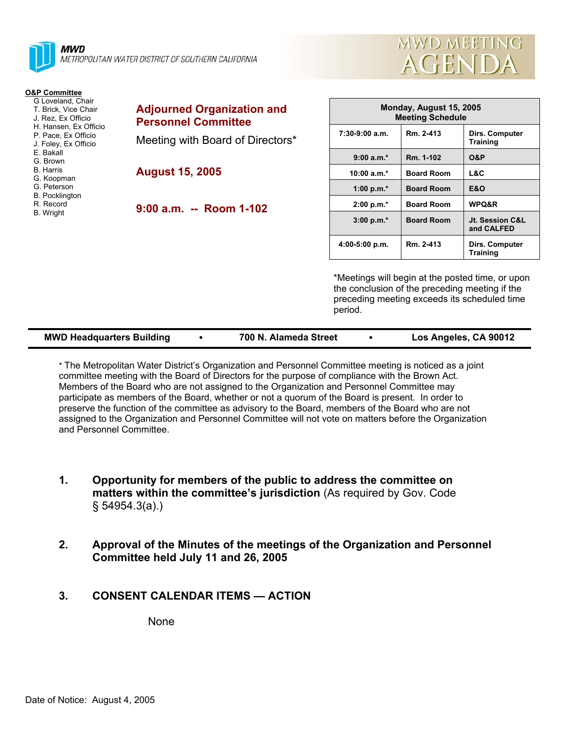

| <b>MWD MEETING</b> |
|--------------------|
| AGENDA             |

| <b>O&amp;P Committee</b>                                                                                                |                                          |
|-------------------------------------------------------------------------------------------------------------------------|------------------------------------------|
| G Loveland, Chair<br>T. Brick, Vice Chair<br>J. Rez. Ex Officio<br>H. Hansen, Ex Officio                                | <b>Adjourned C</b><br><b>Personnel C</b> |
| P. Pace, Ex Officio<br>J. Foley, Ex Officio                                                                             | Meeting with                             |
| F Bakall<br>G. Brown<br><b>B</b> Harris<br>G. Koopman<br>G. Peterson<br><b>B.</b> Pocklington<br>R. Record<br>B. Wright | <b>August 15, 2</b><br>9:00 a.m.         |
|                                                                                                                         |                                          |
|                                                                                                                         |                                          |

| <b>Adjourned Organization and</b> |  |  |  |  |
|-----------------------------------|--|--|--|--|
| <b>Personnel Committee</b>        |  |  |  |  |
| Meeting with Board of Directors*  |  |  |  |  |

**August 15, 2005** 

**9:00 a.m. -- Room 1-102** 

| Monday, August 15, 2005<br><b>Meeting Schedule</b> |                   |                                   |  |  |  |
|----------------------------------------------------|-------------------|-----------------------------------|--|--|--|
| $7:30-9:00$ a.m.                                   | Rm. 2-413         | Dirs. Computer<br><b>Training</b> |  |  |  |
| $9:00 a.m.*$                                       | Rm. 1-102         | <b>O&amp;P</b>                    |  |  |  |
| 10:00 $a.m.*$                                      | <b>Board Room</b> | L&C                               |  |  |  |
| 1:00 p.m. $*$                                      | <b>Board Room</b> | <b>E&amp;O</b>                    |  |  |  |
| $2:00 p.m.*$                                       | <b>Board Room</b> | <b>WPQ&amp;R</b>                  |  |  |  |
| $3:00 p.m.*$                                       | <b>Board Room</b> | Jt. Session C&L<br>and CALFED     |  |  |  |
| $4:00-5:00$ p.m.                                   | Rm. 2-413         | Dirs. Computer<br><b>Training</b> |  |  |  |

\*Meetings will begin at the posted time, or upon the conclusion of the preceding meeting if the preceding meeting exceeds its scheduled time period.

| <b>MWD Headquarters Building</b> |  | 700 N. Alameda Street |  | Los Angeles, CA 90012 |
|----------------------------------|--|-----------------------|--|-----------------------|
|----------------------------------|--|-----------------------|--|-----------------------|

\* The Metropolitan Water District's Organization and Personnel Committee meeting is noticed as a joint committee meeting with the Board of Directors for the purpose of compliance with the Brown Act. Members of the Board who are not assigned to the Organization and Personnel Committee may participate as members of the Board, whether or not a quorum of the Board is present. In order to preserve the function of the committee as advisory to the Board, members of the Board who are not assigned to the Organization and Personnel Committee will not vote on matters before the Organization and Personnel Committee.

- **1. Opportunity for members of the public to address the committee on matters within the committee's jurisdiction** (As required by Gov. Code § 54954.3(a).)
- **2. Approval of the Minutes of the meetings of the Organization and Personnel Committee held July 11 and 26, 2005**
- **3. CONSENT CALENDAR ITEMS ACTION**

None